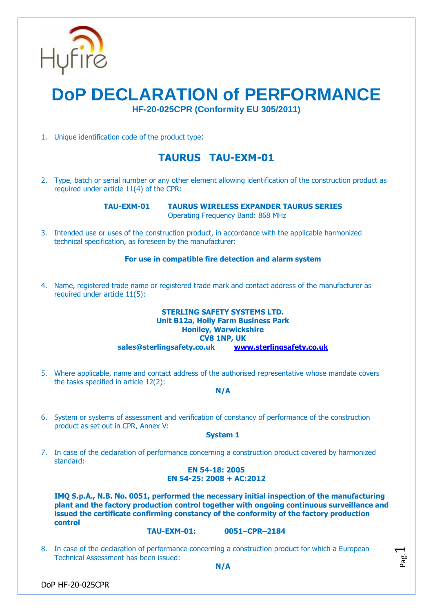

# **DoP DECLARATION of PERFORMANCE HF-20-025CPR (Conformity EU 305/2011)**

1. Unique identification code of the product type:

# **TAURUS TAU-EXM-01**

2. Type, batch or serial number or any other element allowing identification of the construction product as required under article 11(4) of the CPR:

**TAU-EXM-01 TAURUS WIRELESS EXPANDER TAURUS SERIES** Operating Frequency Band: 868 MHz

3. Intended use or uses of the construction product, in accordance with the applicable harmonized technical specification, as foreseen by the manufacturer:

## **For use in compatible fire detection and alarm system**

4. Name, registered trade name or registered trade mark and contact address of the manufacturer as required under article 11(5):

## **STERLING SAFETY SYSTEMS LTD. Unit B12a, Holly Farm Business Park Honiley, Warwickshire CV8 1NP, UK sales@sterlingsafety.co.uk [www.sterlingsafety.co.uk](http://www.sterlingsafety.co.uk/)**

5. Where applicable, name and contact address of the authorised representative whose mandate covers the tasks specified in article 12(2):

## **N/A**

6. System or systems of assessment and verification of constancy of performance of the construction product as set out in CPR, Annex V:

#### **System 1**

7. In case of the declaration of performance concerning a construction product covered by harmonized standard:

#### **EN 54-18: 2005 EN 54-25: 2008 + AC:2012**

**IMQ S.p.A., N.B. No. 0051, performed the necessary initial inspection of the manufacturing plant and the factory production control together with ongoing continuous surveillance and issued the certificate confirming constancy of the conformity of the factory production control**

#### **TAU-EXM-01: 0051–CPR–2184**

8. In case of the declaration of performance concerning a construction product for which a European Technical Assessment has been issued:

Pag.  $\overline{\phantom{0}}$ 

DoP HF-20-025CPR